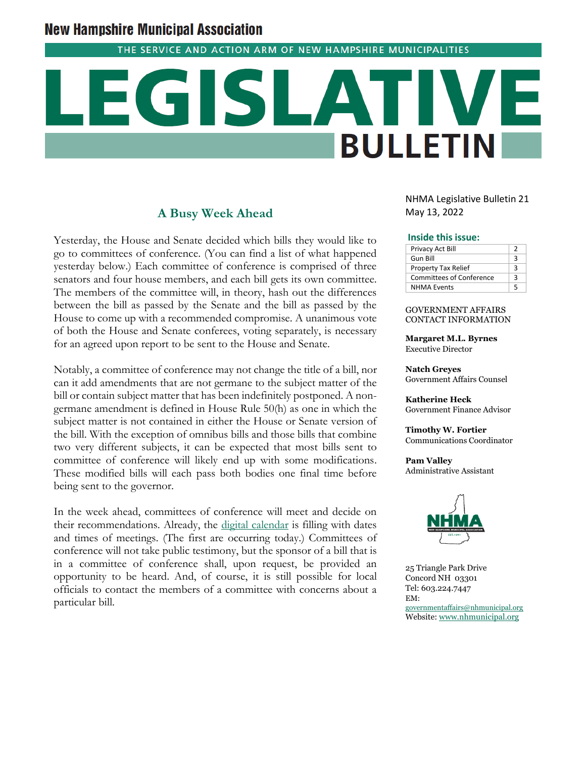# **New Hampshire Municipal Association**

THE SERVICE AND ACTION ARM OF NEW HAMPSHIRE MUNICIPALITIES

# **BULLETIN**

# **A Busy Week Ahead**

Yesterday, the House and Senate decided which bills they would like to go to committees of conference. (You can find a list of what happened yesterday below.) Each committee of conference is comprised of three senators and four house members, and each bill gets its own committee. The members of the committee will, in theory, hash out the differences between the bill as passed by the Senate and the bill as passed by the House to come up with a recommended compromise. A unanimous vote of both the House and Senate conferees, voting separately, is necessary for an agreed upon report to be sent to the House and Senate.

Notably, a committee of conference may not change the title of a bill, nor can it add amendments that are not germane to the subject matter of the bill or contain subject matter that has been indefinitely postponed. A nongermane amendment is defined in House Rule 50(h) as one in which the subject matter is not contained in either the House or Senate version of the bill. With the exception of omnibus bills and those bills that combine two very different subjects, it can be expected that most bills sent to committee of conference will likely end up with some modifications. These modified bills will each pass both bodies one final time before being sent to the governor.

In the week ahead, committees of conference will meet and decide on their recommendations. Already, the [digital calendar](http://www.gencourt.state.nh.us/committee_of_conference/) is filling with dates and times of meetings. (The first are occurring today.) Committees of conference will not take public testimony, but the sponsor of a bill that is in a committee of conference shall, upon request, be provided an opportunity to be heard. And, of course, it is still possible for local officials to contact the members of a committee with concerns about a particular bill.

NHMA Legislative Bulletin 21 May 13, 2022

### **Inside this issue:**

| Privacy Act Bill                |   |
|---------------------------------|---|
| Gun Bill                        | ٦ |
| <b>Property Tax Relief</b>      | ર |
| <b>Committees of Conference</b> | ર |
| <b>NHMA Events</b>              | ς |

### GOVERNMENT AFFAIRS CONTACT INFORMATION

**Margaret M.L. Byrnes** Executive Director

**Natch Greyes** Government Affairs Counsel

**Katherine Heck** Government Finance Advisor

**Timothy W. Fortier** Communications Coordinator

**Pam Valley** Administrative Assistant



25 Triangle Park Drive Concord NH 03301 Tel: 603.224.7447 EM: [governmentaffairs@nhmunicipal.org](mailto:governmentaffairs@nhmunicipal.org) Website: [www.nhmunicipal.org](http://www.nhmunicipal.org/)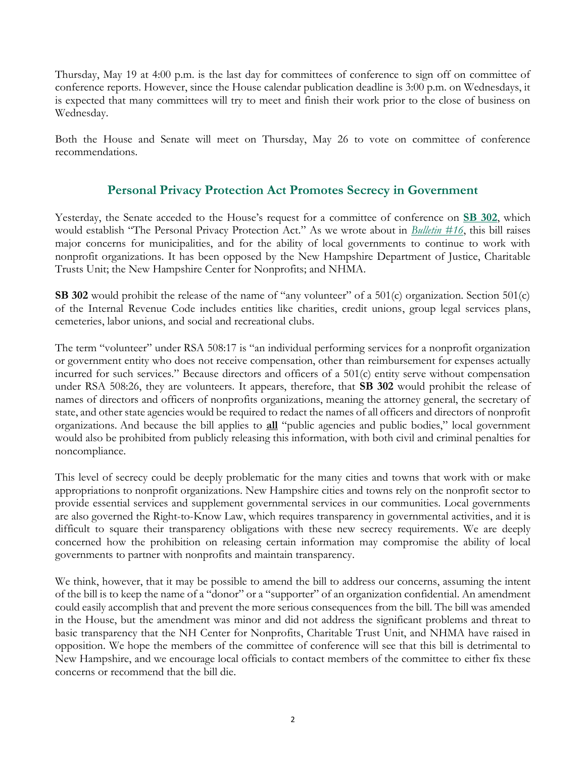Thursday, May 19 at 4:00 p.m. is the last day for committees of conference to sign off on committee of conference reports. However, since the House calendar publication deadline is 3:00 p.m. on Wednesdays, it is expected that many committees will try to meet and finish their work prior to the close of business on Wednesday.

Both the House and Senate will meet on Thursday, May 26 to vote on committee of conference recommendations.

# **Personal Privacy Protection Act Promotes Secrecy in Government**

Yesterday, the Senate acceded to the House's request for a committee of conference on **[SB 302](http://www.gencourt.state.nh.us/bill_status/billinfo.aspx?id=2103&inflect=2)**, which would establish "The Personal Privacy Protection Act." As we wrote about in *[Bulletin #16](https://www.nhmunicipal.org/legislative-bulletin/2022-nhma-legislative-bulletin-16)*, this bill raises major concerns for municipalities, and for the ability of local governments to continue to work with nonprofit organizations. It has been opposed by the New Hampshire Department of Justice, Charitable Trusts Unit; the New Hampshire Center for Nonprofits; and NHMA.

**SB 302** would prohibit the release of the name of "any volunteer" of a 501(c) organization. Section 501(c) of the Internal Revenue Code includes entities like charities, credit unions, group legal services plans, cemeteries, labor unions, and social and recreational clubs.

The term "volunteer" under RSA 508:17 is "an individual performing services for a nonprofit organization or government entity who does not receive compensation, other than reimbursement for expenses actually incurred for such services." Because directors and officers of a 501(c) entity serve without compensation under RSA 508:26, they are volunteers. It appears, therefore, that **SB 302** would prohibit the release of names of directors and officers of nonprofits organizations, meaning the attorney general, the secretary of state, and other state agencies would be required to redact the names of all officers and directors of nonprofit organizations. And because the bill applies to **all** "public agencies and public bodies," local government would also be prohibited from publicly releasing this information, with both civil and criminal penalties for noncompliance.

This level of secrecy could be deeply problematic for the many cities and towns that work with or make appropriations to nonprofit organizations. New Hampshire cities and towns rely on the nonprofit sector to provide essential services and supplement governmental services in our communities. Local governments are also governed the Right-to-Know Law, which requires transparency in governmental activities, and it is difficult to square their transparency obligations with these new secrecy requirements. We are deeply concerned how the prohibition on releasing certain information may compromise the ability of local governments to partner with nonprofits and maintain transparency.

We think, however, that it may be possible to amend the bill to address our concerns, assuming the intent of the bill is to keep the name of a "donor" or a "supporter" of an organization confidential. An amendment could easily accomplish that and prevent the more serious consequences from the bill. The bill was amended in the House, but the amendment was minor and did not address the significant problems and threat to basic transparency that the NH Center for Nonprofits, Charitable Trust Unit, and NHMA have raised in opposition. We hope the members of the committee of conference will see that this bill is detrimental to New Hampshire, and we encourage local officials to contact members of the committee to either fix these concerns or recommend that the bill die.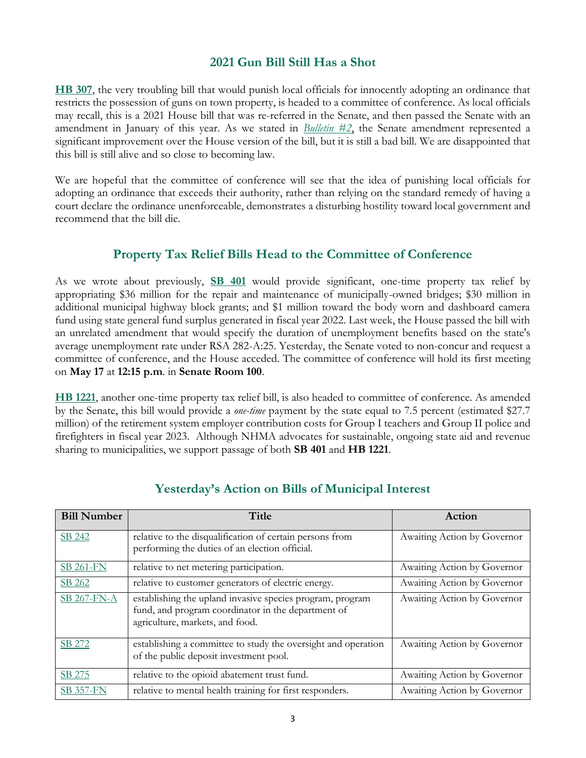# **2021 Gun Bill Still Has a Shot**

**[HB 307](http://www.gencourt.state.nh.us/bill_status/pdf.aspx?id=30034&q=billVersion)**, the very troubling bill that would punish local officials for innocently adopting an ordinance that restricts the possession of guns on town property, is headed to a committee of conference. As local officials may recall, this is a 2021 House bill that was re-referred in the Senate, and then passed the Senate with an amendment in January of this year. As we stated in *[Bulletin](https://www.nhmunicipal.org/legislative-bulletin/2022-nhma-legislative-bulletin-02#26187) #2*, the Senate amendment represented a significant improvement over the House version of the bill, but it is still a bad bill. We are disappointed that this bill is still alive and so close to becoming law.

We are hopeful that the committee of conference will see that the idea of punishing local officials for adopting an ordinance that exceeds their authority, rather than relying on the standard remedy of having a court declare the ordinance unenforceable, demonstrates a disturbing hostility toward local government and recommend that the bill die.

# **Property Tax Relief Bills Head to the Committee of Conference**

As we wrote about previously, **[SB 401](http://www.gencourt.state.nh.us/bill_status/pdf.aspx?id=35392&q=amendment)** would provide significant, one-time property tax relief by appropriating \$36 million for the repair and maintenance of municipally-owned bridges; \$30 million in additional municipal highway block grants; and \$1 million toward the body worn and dashboard camera fund using state general fund surplus generated in fiscal year 2022. Last week, the House passed the bill with an unrelated amendment that would specify the duration of unemployment benefits based on the state's average unemployment rate under RSA 282-A:25. Yesterday, the Senate voted to non-concur and request a committee of conference, and the House acceded. The committee of conference will hold its first meeting on **May 17** at **12:15 p.m**. in **Senate Room 100**.

**[HB 1221](http://www.gencourt.state.nh.us/bill_status/pdf.aspx?id=34444&q=amendment)**, another one-time property tax relief bill, is also headed to committee of conference. As amended by the Senate, this bill would provide a *one-time* payment by the state equal to 7.5 percent (estimated \$27.7 million) of the retirement system employer contribution costs for Group I teachers and Group II police and firefighters in fiscal year 2023. Although NHMA advocates for sustainable, ongoing state aid and revenue sharing to municipalities, we support passage of both **SB 401** and **HB 1221**.

| <b>Bill Number</b> | Title                                                                                                                                              | Action                      |
|--------------------|----------------------------------------------------------------------------------------------------------------------------------------------------|-----------------------------|
| SB 242             | relative to the disqualification of certain persons from<br>performing the duties of an election official.                                         | Awaiting Action by Governor |
| <b>SB 261-FN</b>   | relative to net metering participation.                                                                                                            | Awaiting Action by Governor |
| SB 262             | relative to customer generators of electric energy.                                                                                                | Awaiting Action by Governor |
| <b>SB 267-FN-A</b> | establishing the upland invasive species program, program<br>fund, and program coordinator in the department of<br>agriculture, markets, and food. | Awaiting Action by Governor |
| SB 272             | establishing a committee to study the oversight and operation<br>of the public deposit investment pool.                                            | Awaiting Action by Governor |
| SB 275             | relative to the opioid abatement trust fund.                                                                                                       | Awaiting Action by Governor |
| <b>SB 357-FN</b>   | relative to mental health training for first responders.                                                                                           | Awaiting Action by Governor |

# **Yesterday's Action on Bills of Municipal Interest**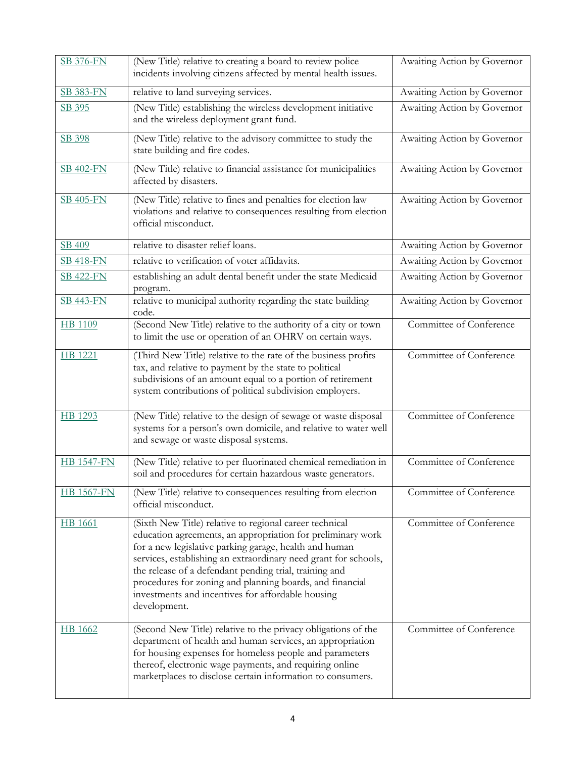| <b>SB 376-FN</b>  | (New Title) relative to creating a board to review police<br>incidents involving citizens affected by mental health issues.                                                                                                                                                                                                                                                                                                                    | Awaiting Action by Governor |
|-------------------|------------------------------------------------------------------------------------------------------------------------------------------------------------------------------------------------------------------------------------------------------------------------------------------------------------------------------------------------------------------------------------------------------------------------------------------------|-----------------------------|
| <b>SB 383-FN</b>  | relative to land surveying services.                                                                                                                                                                                                                                                                                                                                                                                                           | Awaiting Action by Governor |
| SB 395            | (New Title) establishing the wireless development initiative<br>and the wireless deployment grant fund.                                                                                                                                                                                                                                                                                                                                        | Awaiting Action by Governor |
| SB 398            | (New Title) relative to the advisory committee to study the<br>state building and fire codes.                                                                                                                                                                                                                                                                                                                                                  | Awaiting Action by Governor |
| <b>SB 402-FN</b>  | (New Title) relative to financial assistance for municipalities<br>affected by disasters.                                                                                                                                                                                                                                                                                                                                                      | Awaiting Action by Governor |
| <b>SB 405-FN</b>  | (New Title) relative to fines and penalties for election law<br>violations and relative to consequences resulting from election<br>official misconduct.                                                                                                                                                                                                                                                                                        | Awaiting Action by Governor |
| SB 409            | relative to disaster relief loans.                                                                                                                                                                                                                                                                                                                                                                                                             | Awaiting Action by Governor |
| <b>SB 418-FN</b>  | relative to verification of voter affidavits.                                                                                                                                                                                                                                                                                                                                                                                                  | Awaiting Action by Governor |
| <b>SB 422-FN</b>  | establishing an adult dental benefit under the state Medicaid<br>program.                                                                                                                                                                                                                                                                                                                                                                      | Awaiting Action by Governor |
| <b>SB 443-FN</b>  | relative to municipal authority regarding the state building<br>code.                                                                                                                                                                                                                                                                                                                                                                          | Awaiting Action by Governor |
| HB 1109           | (Second New Title) relative to the authority of a city or town<br>to limit the use or operation of an OHRV on certain ways.                                                                                                                                                                                                                                                                                                                    | Committee of Conference     |
| HB 1221           | (Third New Title) relative to the rate of the business profits<br>tax, and relative to payment by the state to political<br>subdivisions of an amount equal to a portion of retirement<br>system contributions of political subdivision employers.                                                                                                                                                                                             | Committee of Conference     |
| HB 1293           | (New Title) relative to the design of sewage or waste disposal<br>systems for a person's own domicile, and relative to water well<br>and sewage or waste disposal systems.                                                                                                                                                                                                                                                                     | Committee of Conference     |
| <b>HB 1547-FN</b> | (New Title) relative to per fluorinated chemical remediation in<br>soil and procedures for certain hazardous waste generators.                                                                                                                                                                                                                                                                                                                 | Committee of Conference     |
| <b>HB 1567-FN</b> | (New Title) relative to consequences resulting from election<br>official misconduct.                                                                                                                                                                                                                                                                                                                                                           | Committee of Conference     |
| HB 1661           | (Sixth New Title) relative to regional career technical<br>education agreements, an appropriation for preliminary work<br>for a new legislative parking garage, health and human<br>services, establishing an extraordinary need grant for schools,<br>the release of a defendant pending trial, training and<br>procedures for zoning and planning boards, and financial<br>investments and incentives for affordable housing<br>development. | Committee of Conference     |
| HB 1662           | (Second New Title) relative to the privacy obligations of the<br>department of health and human services, an appropriation<br>for housing expenses for homeless people and parameters<br>thereof, electronic wage payments, and requiring online<br>marketplaces to disclose certain information to consumers.                                                                                                                                 | Committee of Conference     |